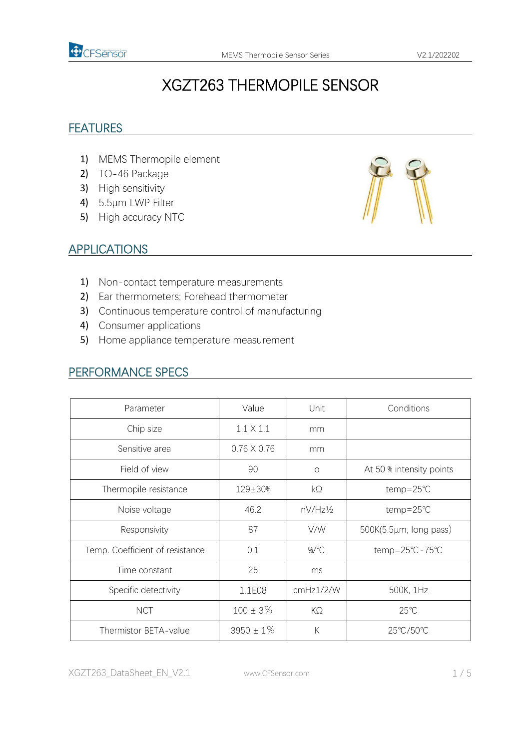

# XGZT263 THERMOPILE SENSOR

#### **FEATURES**

- 1) MEMS Thermopile element
- 2) TO-46 Package
- 3) High sensitivity
- 4) 5.5μm LWP Filter
- 5) High accuracy NTC



#### APPLICATIONS

- 1) Non-contact temperature measurements
- 2) Ear thermometers; Forehead thermometer
- 3) Continuous temperature control of manufacturing
- 4) Consumer applications
- 5) Home appliance temperature measurement

# PERFORMANCE SPECS

| Parameter                       | Value              | Unit      | Conditions               |  |
|---------------------------------|--------------------|-----------|--------------------------|--|
| Chip size                       | $1.1 \times 1.1$   | mm        |                          |  |
| Sensitive area                  | $0.76 \times 0.76$ | mm        |                          |  |
| Field of view                   | 90                 | $\circ$   | At 50 % intensity points |  |
| Thermopile resistance           | 129±30%            | $k\Omega$ | temp=25℃                 |  |
| Noise voltage                   | 46.2               | nV/Hz½    | $temp = 25^{\circ}C$     |  |
| Responsivity                    | 87                 | V/W       | 500K(5.5µm, long pass)   |  |
| Temp. Coefficient of resistance | 0.1                | %/°C      | temp=25°C-75°C           |  |
| Time constant                   | 25                 | ms        |                          |  |
| Specific detectivity            | 1.1E08             | cmHz1/2/W | 500K, 1Hz                |  |
| <b>NCT</b>                      | $100 \pm 3\%$      | $K\Omega$ | $25^{\circ}$ C           |  |
| Thermistor BETA-value           | $3950 \pm 1\%$     | К         | 25°C/50°C                |  |

XGZT263\_DataSheet\_EN\_V2.1 www.CFSensor.com 1 / 5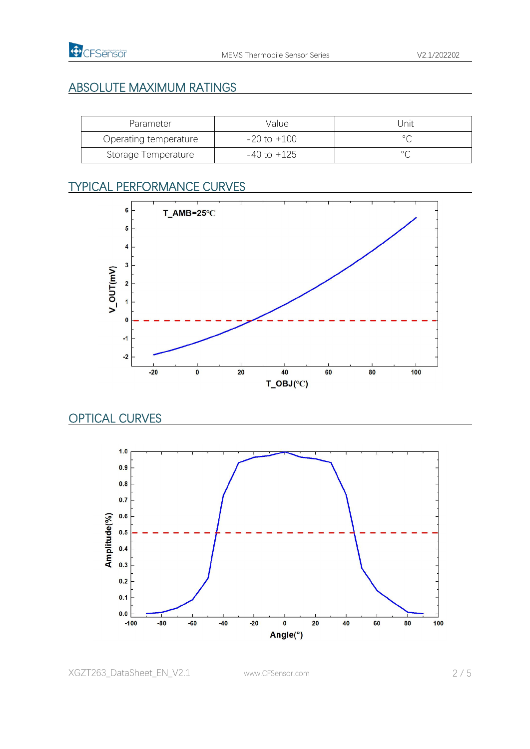## ABSOLUTE MAXIMUM RATINGS

| Parameter             | Value           | Jnit              |
|-----------------------|-----------------|-------------------|
| Operating temperature | $-20$ to $+100$ |                   |
| Storage Temperature   | $-40$ to $+125$ | $\circ$ $\subset$ |

# TYPICAL PERFORMANCE CURVES



## OPTICAL CURVES



XGZT263\_DataSheet\_EN\_V2.1 www.CFSensor.com 2 / 5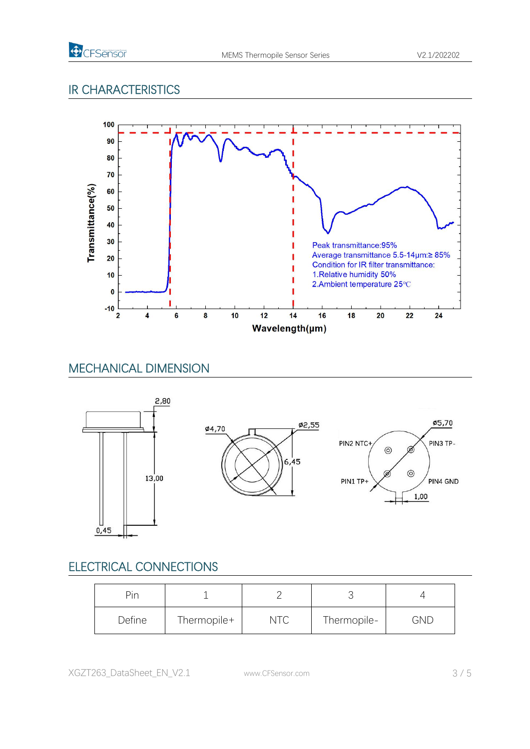

## IR CHARACTERISTICS



## MECHANICAL DIMENSION



# ELECTRICAL CONNECTIONS

| Pin    |             |     |             |            |
|--------|-------------|-----|-------------|------------|
| Define | Thermopile+ | NTC | Thermopile- | <b>GND</b> |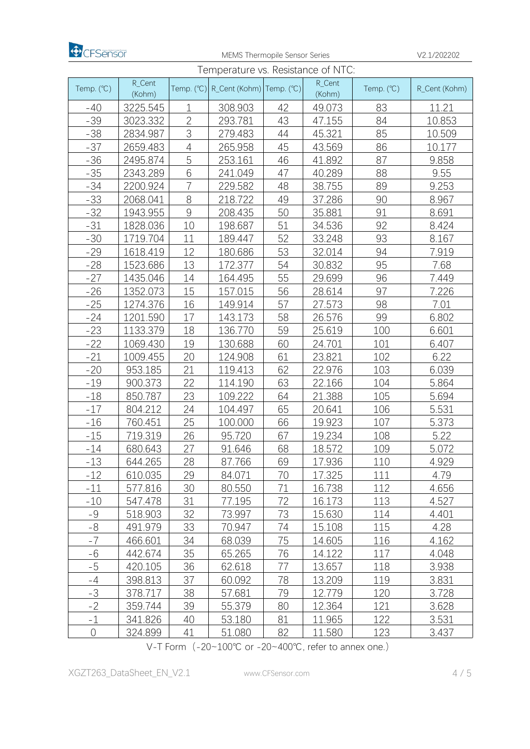

MEMS Thermopile Sensor Series V2.1/202202

| Temperature vs. Resistance of NTC: |                  |                |                                                                             |    |                  |            |               |
|------------------------------------|------------------|----------------|-----------------------------------------------------------------------------|----|------------------|------------|---------------|
| Temp. (°C)                         | R_Cent<br>(Kohm) |                | Temp. $({}^{\circ}\mathbb{C})$ R_Cent (Kohm) Temp. $({}^{\circ}\mathbb{C})$ |    | R_Cent<br>(Kohm) | Temp. (°C) | R_Cent (Kohm) |
| $-40$                              | 3225.545         | 1              | 308.903                                                                     | 42 | 49.073           | 83         | 11.21         |
| $-39$                              | 3023.332         | $\overline{2}$ | 293.781                                                                     | 43 | 47.155           | 84         | 10.853        |
| $-38$                              | 2834.987         | 3              | 279.483                                                                     | 44 | 45.321           | 85         | 10.509        |
| $-37$                              | 2659.483         | 4              | 265.958                                                                     | 45 | 43.569           | 86         | 10.177        |
| $-36$                              | 2495.874         | 5              | 253.161                                                                     | 46 | 41.892           | 87         | 9.858         |
| $-35$                              | 2343.289         | 6              | 241.049                                                                     | 47 | 40.289           | 88         | 9.55          |
| $-34$                              | 2200.924         | $\overline{7}$ | 229.582                                                                     | 48 | 38.755           | 89         | 9.253         |
| $-33$                              | 2068.041         | $8\,$          | 218.722                                                                     | 49 | 37.286           | 90         | 8.967         |
| $-32$                              | 1943.955         | $9\,$          | 208.435                                                                     | 50 | 35.881           | 91         | 8.691         |
| $-31$                              | 1828.036         | 10             | 198.687                                                                     | 51 | 34.536           | 92         | 8.424         |
| $-30$                              | 1719.704         | 11             | 189.447                                                                     | 52 | 33.248           | 93         | 8.167         |
| $-29$                              | 1618.419         | 12             | 180.686                                                                     | 53 | 32.014           | 94         | 7.919         |
| $-28$                              | 1523.686         | 13             | 172.377                                                                     | 54 | 30.832           | 95         | 7.68          |
| $-27$                              | 1435.046         | 14             | 164.495                                                                     | 55 | 29.699           | 96         | 7.449         |
| $-26$                              | 1352.073         | 15             | 157.015                                                                     | 56 | 28.614           | 97         | 7.226         |
| $-25$                              | 1274.376         | 16             | 149.914                                                                     | 57 | 27.573           | 98         | 7.01          |
| $-24$                              | 1201.590         | 17             | 143.173                                                                     | 58 | 26.576           | 99         | 6.802         |
| $-23$                              | 1133.379         | 18             | 136.770                                                                     | 59 | 25.619           | 100        | 6.601         |
| $-22$                              | 1069.430         | 19             | 130.688                                                                     | 60 | 24.701           | 101        | 6.407         |
| $-21$                              | 1009.455         | 20             | 124.908                                                                     | 61 | 23.821           | 102        | 6.22          |
| $-20$                              | 953.185          | 21             | 119.413                                                                     | 62 | 22.976           | 103        | 6.039         |
| $-19$                              | 900.373          | 22             | 114.190                                                                     | 63 | 22.166           | 104        | 5.864         |
| $-18$                              | 850.787          | 23             | 109.222                                                                     | 64 | 21.388           | 105        | 5.694         |
| $-17$                              | 804.212          | 24             | 104.497                                                                     | 65 | 20.641           | 106        | 5.531         |
| $-16$                              | 760.451          | 25             | 100.000                                                                     | 66 | 19.923           | 107        | 5.373         |
| $-15$                              | 719.319          | 26             | 95.720                                                                      | 67 | 19.234           | 108        | 5.22          |
| $-14$                              | 680.643          | 27             | 91.646                                                                      | 68 | 18.572           | 109        | 5.072         |
| $-13$                              | 644.265          | 28             | 87.766                                                                      | 69 | 17.936           | 110        | 4.929         |
| $-12$                              | 610.035          | 29             | 84.071                                                                      | 70 | 17.325           | 111        | 4.79          |
| $-11$                              | 577.816          | 30             | 80.550                                                                      | 71 | 16.738           | 112        | 4.656         |
| $-10$                              | 547.478          | 31             | 77.195                                                                      | 72 | 16.173           | 113        | 4.527         |
| $-9$                               | 518.903          | 32             | 73.997                                                                      | 73 | 15.630           | 114        | 4.401         |
| -8                                 | 491.979          | 33             | 70.947                                                                      | 74 | 15.108           | 115        | 4.28          |
| $-7$                               | 466.601          | 34             | 68.039                                                                      | 75 | 14.605           | 116        | 4.162         |
| -6                                 | 442.674          | 35             | 65.265                                                                      | 76 | 14.122           | 117        | 4.048         |
| $-5$                               | 420.105          | 36             | 62.618                                                                      | 77 | 13.657           | 118        | 3.938         |
| $-4$                               | 398.813          | 37             | 60.092                                                                      | 78 | 13.209           | 119        | 3.831         |
| $-3$                               | 378.717          | 38             | 57.681                                                                      | 79 | 12.779           | 120        | 3.728         |
| $-2$                               | 359.744          | 39             | 55.379                                                                      | 80 | 12.364           | 121        | 3.628         |
| $-1$                               | 341.826          | 40             | 53.180                                                                      | 81 | 11.965           | 122        | 3.531         |
| $\overline{0}$                     | 324.899          | 41             | 51.080                                                                      | 82 | 11.580           | 123        | 3.437         |

V-T Form (-20~100℃ or -20~400℃, refer to annex one.)

XGZT263\_DataSheet\_EN\_V2.1 www.CFSensor.com 4 / 5